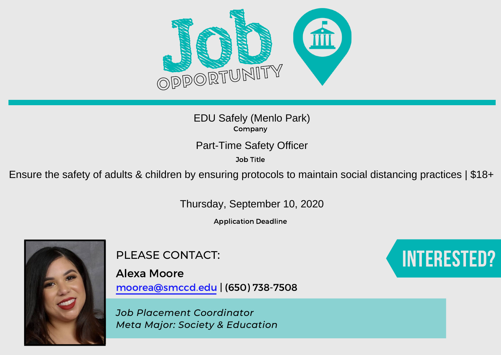

Company EDU Safely (Menlo Park)

Job Title

Part-Time Safety Officer<br>
<sup>Job Title</sup><br>Ensure the safety of adults & children by ensuring protocols to maintain social distancing practices | \$18+

Thursday, September 10, 2020

Application Deadline



PLEASE CONTACT:

Alexa Moore moorea@smccd.edu | (650) 738-7508

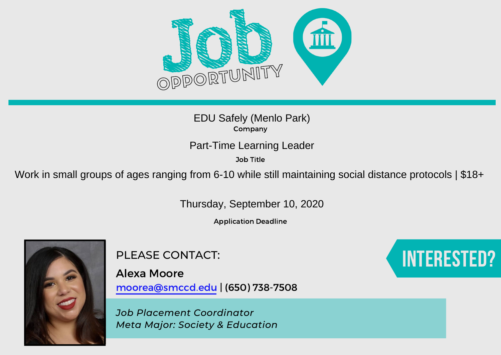

Job Title

EDU Safely (Menlo Park)<br>
Company<br>
Part-Time Learning Leader<br>
Job Title<br>
Work in small groups of ages ranging from 6-10 while still maintaining social distance protocols | \$18+

Thursday, September 10, 2020

Application Deadline



PLEASE CONTACT:

Alexa Moore moorea@smccd.edu | (650) 738-7508

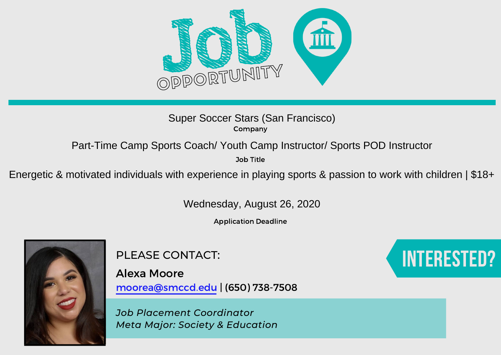

### Company Super Soccer Stars (San Francisco)

Job Title

Part-Time Camp Sports Coach/ Youth Camp Instructor/ Sports POD Instructor<br>
<sup>30b Title</sup><br>
Energetic & motivated individuals with experience in playing sports & passion to work with children | \$18+

Wednesday, August 26, 2020

Application Deadline



PLEASE CONTACT:

Alexa Moore moorea@smccd.edu | (650) 738-7508

*Job Placement Coordinator Meta Major: Society & Education*

# Interested?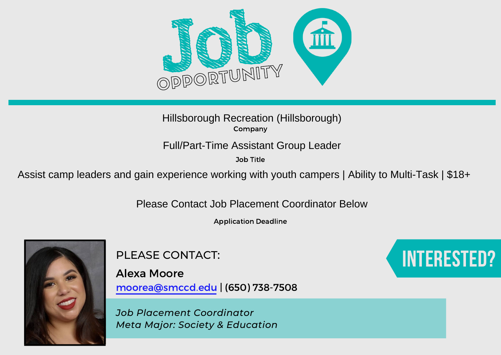

Job Title

Hillsborough Recreation (Hillsborough)<br>Company<br>Full/Part-Time Assistant Group Leader<br>Dob Title<br>Assist camp leaders and gain experience working with youth campers | Ability to Multi-Task | \$18+

Please Contact Job Placement Coordinator Below

Application Deadline



PLEASE CONTACT:

Alexa Moore moorea@smccd.edu | (650) 738-7508

*Job Placement Coordinator Meta Major: Society & Education*

## Interested?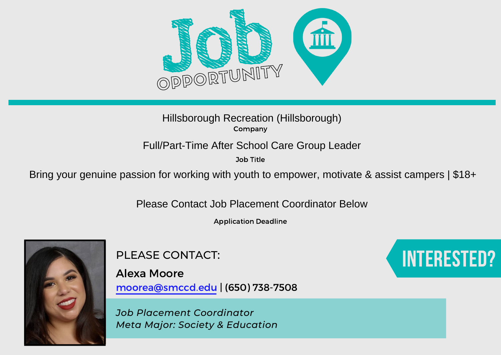

Job Title

Hillsborough Recreation (Hillsborough)<br>Company<br>Full/Part-Time After School Care Group Leader<br>Bring your genuine passion for working with youth to empower, motivate & assist campers | \$18+

Please Contact Job Placement Coordinator Below

Application Deadline



PLEASE CONTACT:

Alexa Moore moorea@smccd.edu | (650) 738-7508

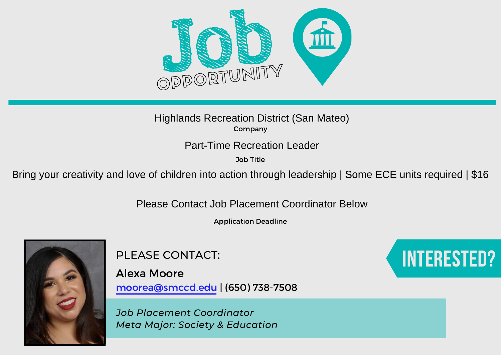

Job Title

Highlands Recreation District (San Mateo)<br>
Drive Bring your creativity and love of children into action through leadership | Some ECE units required | \$16<br>
Part-Time Recreation Leadership | Some ECE units required | \$16

Please Contact Job Placement Coordinator Below

Application Deadline



PLEASE CONTACT:

Alexa Moore moorea@smccd.edu | (650) 738-7508

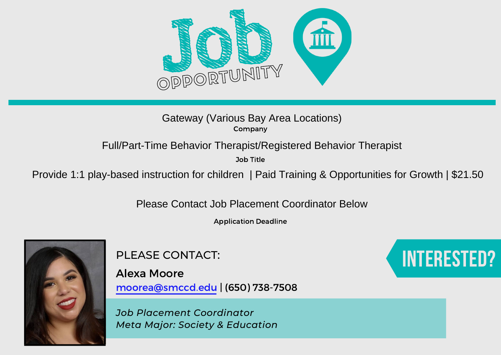

Job Title

Gateway (Various Bay Area Locations)<br>
Full/Part-Time Behavior Therapist/Registered Behavior Therapist<br>
<sup>Job Title</sup><br>Provide 1:1 play-based instruction for children | Paid Training & Opportunities for Growth | \$21.50

Please Contact Job Placement Coordinator Below

Application Deadline



PLEASE CONTACT:

Alexa Moore moorea@smccd.edu | (650) 738-7508

*Job Placement Coordinator Meta Major: Society & Education*

## Interested?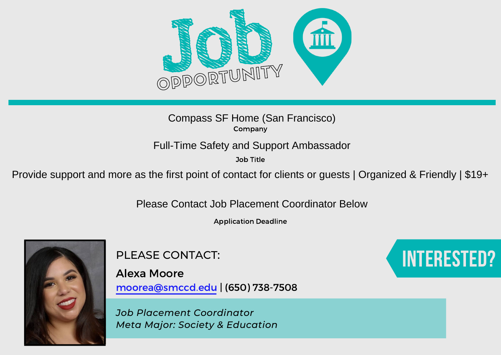

Job Title

Compass SF Home (San Francisco)<br>
Company<br>
Full-Time Safety and Support Ambassador<br>
Job Title<br>
Provide support and more as the first point of contact for clients or guests | Organized & Friendly | \$19+<br>
Please Contact Job P

Application Deadline



PLEASE CONTACT:

Alexa Moore moorea@smccd.edu | (650) 738-7508